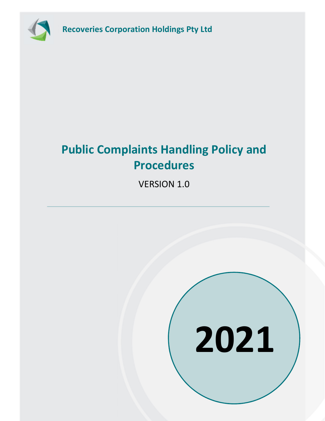

Recoveries Corporation Holdings Pty Ltd

# Public Complaints Handling Policy and Procedures

VERSION 1.0

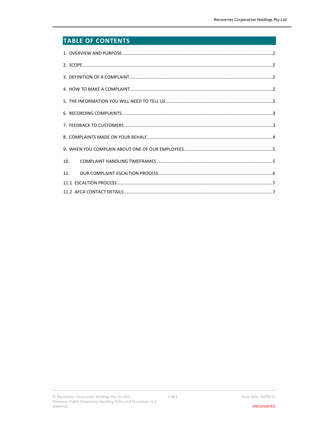# **TABLE OF CONTENTS**

| 10. |
|-----|
| 11. |
|     |
|     |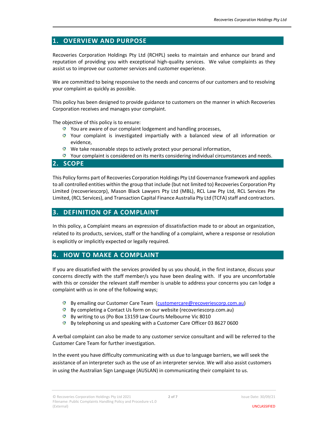# 1. OVERVIEW AND PURPOSE

Recoveries Corporation Holdings Pty Ltd (RCHPL) seeks to maintain and enhance our brand and reputation of providing you with exceptional high-quality services. We value complaints as they assist us to improve our customer services and customer experience.

We are committed to being responsive to the needs and concerns of our customers and to resolving your complaint as quickly as possible.

This policy has been designed to provide guidance to customers on the manner in which Recoveries Corporation receives and manages your complaint.

The objective of this policy is to ensure:

- **T** You are aware of our complaint lodgement and handling processes,
- Your complaint is investigated impartially with a balanced view of all information or evidence,
- We take reasonable steps to actively protect your personal information,
- Your complaint is considered on its merits considering individual circumstances and needs.

#### 2. SCOPE

This Policy forms part of Recoveries Corporation Holdings Pty Ltd Governance framework and applies to all controlled entities within the group that include (but not limited to) Recoveries Corporation Pty Limited (recoveriescorp), Mason Black Lawyers Pty Ltd (MBL), RCL Law Pty Ltd, RCL Services Pte Limited, (RCL Services), and Transaction Capital Finance Australia Pty Ltd (TCFA) staff and contractors.

#### 3. DEFINITION OF A COMPLAINT

In this policy, a Complaint means an expression of dissatisfaction made to or about an organization, related to its products, services, staff or the handling of a complaint, where a response or resolution is explicitly or implicitly expected or legally required.

#### 4. HOW TO MAKE A COMPLAINT

If you are dissatisfied with the services provided by us you should, in the first instance, discuss your concerns directly with the staff member/s you have been dealing with. If you are uncomfortable with this or consider the relevant staff member is unable to address your concerns you can lodge a complaint with us in one of the following ways;

- **By emailing our Customer Care Team** (customercare@recoveriescorp.com.au)
- <sup>4</sup> By completing a Contact Us form on our website (recoveriescorp.com.au)
- By writing to us (Po Box 13159 Law Courts Melbourne Vic 8010
- <sup>4</sup> By telephoning us and speaking with a Customer Care Officer 03 8627 0600

A verbal complaint can also be made to any customer service consultant and will be referred to the Customer Care Team for further investigation.

In the event you have difficulty communicating with us due to language barriers, we will seek the assistance of an interpreter such as the use of an interpreter service. We will also assist customers in using the Australian Sign Language (AUSLAN) in communicating their complaint to us.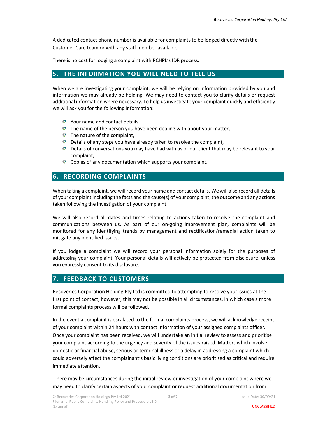A dedicated contact phone number is available for complaints to be lodged directly with the Customer Care team or with any staff member available.

There is no cost for lodging a complaint with RCHPL's IDR process.

### 5. THE INFORMATION YOU WILL NEED TO TELL US

When we are investigating your complaint, we will be relying on information provided by you and information we may already be holding. We may need to contact you to clarify details or request additional information where necessary. To help us investigate your complaint quickly and efficiently we will ask you for the following information:

- **Your name and contact details,**
- $\bullet$  The name of the person you have been dealing with about your matter,
- The nature of the complaint,
- **D** Details of any steps you have already taken to resolve the complaint,
- **D** Details of conversations you may have had with us or our client that may be relevant to your complaint,
- **Copies of any documentation which supports your complaint.**

#### 6. RECORDING COMPLAINTS

When taking a complaint, we will record your name and contact details. We will also record all details of your complaint including the facts and the cause(s) of your complaint, the outcome and any actions taken following the investigation of your complaint.

We will also record all dates and times relating to actions taken to resolve the complaint and communications between us. As part of our on-going improvement plan, complaints will be monitored for any identifying trends by management and rectification/remedial action taken to mitigate any identified issues.

If you lodge a complaint we will record your personal information solely for the purposes of addressing your complaint. Your personal details will actively be protected from disclosure, unless you expressly consent to its disclosure.

#### 7. FEEDBACK TO CUSTOMERS

Recoveries Corporation Holding Pty Ltd is committed to attempting to resolve your issues at the first point of contact, however, this may not be possible in all circumstances, in which case a more formal complaints process will be followed.

In the event a complaint is escalated to the formal complaints process, we will acknowledge receipt of your complaint within 24 hours with contact information of your assigned complaints officer. Once your complaint has been received, we will undertake an initial review to assess and prioritise your complaint according to the urgency and severity of the issues raised. Matters which involve domestic or financial abuse, serious or terminal illness or a delay in addressing a complaint which could adversely affect the complainant's basic living conditions are prioritised as critical and require immediate attention.

 There may be circumstances during the initial review or investigation of your complaint where we may need to clarify certain aspects of your complaint or request additional documentation from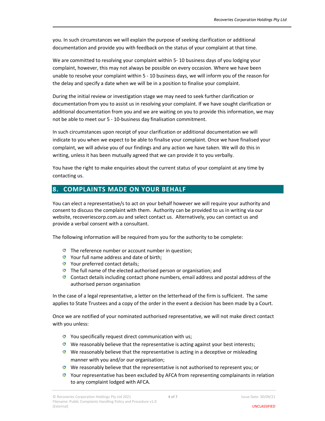you. In such circumstances we will explain the purpose of seeking clarification or additional documentation and provide you with feedback on the status of your complaint at that time.

We are committed to resolving your complaint within 5- 10 business days of you lodging your complaint, however, this may not always be possible on every occasion. Where we have been unable to resolve your complaint within 5 - 10 business days, we will inform you of the reason for the delay and specify a date when we will be in a position to finalise your complaint.

During the initial review or investigation stage we may need to seek further clarification or documentation from you to assist us in resolving your complaint. If we have sought clarification or additional documentation from you and we are waiting on you to provide this information, we may not be able to meet our 5 - 10-business day finalisation commitment.

In such circumstances upon receipt of your clarification or additional documentation we will indicate to you when we expect to be able to finalise your complaint. Once we have finalised your complaint, we will advise you of our findings and any action we have taken. We will do this in writing, unless it has been mutually agreed that we can provide it to you verbally.

You have the right to make enquiries about the current status of your complaint at any time by contacting us.

## 8. COMPLAINTS MADE ON YOUR BEHALF

You can elect a representative/s to act on your behalf however we will require your authority and consent to discuss the complaint with them. Authority can be provided to us in writing via our website, recoveriescorp.com.au and select contact us. Alternatively, you can contact us and provide a verbal consent with a consultant.

The following information will be required from you for the authority to be complete:

- The reference number or account number in question;
- Your full name address and date of birth;
- **Your preferred contact details;**
- The full name of the elected authorised person or organisation; and
- $\bullet$  Contact details including contact phone numbers, email address and postal address of the authorised person organisation

In the case of a legal representative, a letter on the letterhead of the firm is sufficient. The same applies to State Trustees and a copy of the order in the event a decision has been made by a Court.

Once we are notified of your nominated authorised representative, we will not make direct contact with you unless:

- **Y** You specifically request direct communication with us;
- $\bullet$  We reasonably believe that the representative is acting against your best interests;
- $\bullet$  We reasonably believe that the representative is acting in a deceptive or misleading manner with you and/or our organisation;
- $\bullet$  We reasonably believe that the representative is not authorised to represent you; or
- Your representative has been excluded by AFCA from representing complainants in relation to any complaint lodged with AFCA.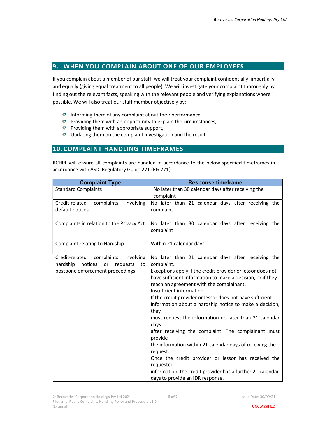### 9. WHEN YOU COMPLAIN ABOUT ONE OF OUR EMPLOYEES

If you complain about a member of our staff, we will treat your complaint confidentially, impartially and equally (giving equal treatment to all people). We will investigate your complaint thoroughly by finding out the relevant facts, speaking with the relevant people and verifying explanations where possible. We will also treat our staff member objectively by:

- Informing them of any complaint about their performance,
- **Providing them with an opportunity to explain the circumstances,**
- **Providing them with appropriate support,**
- **I** Updating them on the complaint investigation and the result.

#### 10. COMPLAINT HANDLING TIMEFRAMES

RCHPL will ensure all complaints are handled in accordance to the below specified timeframes in accordance with ASIC Regulatory Guide 271 (RG 271).

| <b>Complaint Type</b>                              | <b>Response timeframe</b>                                                                                            |
|----------------------------------------------------|----------------------------------------------------------------------------------------------------------------------|
| <b>Standard Complaints</b>                         | No later than 30 calendar days after receiving the                                                                   |
|                                                    | complaint                                                                                                            |
| Credit-related<br>complaints<br>involving          | No later than 21 calendar days after receiving the                                                                   |
| default notices                                    | complaint                                                                                                            |
| Complaints in relation to the Privacy Act          | No later than 30 calendar days after receiving the<br>complaint                                                      |
| Complaint relating to Hardship                     | Within 21 calendar days                                                                                              |
| Credit-related<br>complaints<br>involving          | No later than 21 calendar days after receiving the                                                                   |
| hardship<br>notices<br>requests<br><b>or</b><br>to | complaint.                                                                                                           |
| postpone enforcement proceedings                   | Exceptions apply if the credit provider or lessor does not                                                           |
|                                                    | have sufficient information to make a decision, or if they                                                           |
|                                                    | reach an agreement with the complainant.                                                                             |
|                                                    | Insufficient information                                                                                             |
|                                                    | If the credit provider or lessor does not have sufficient<br>information about a hardship notice to make a decision, |
|                                                    | they                                                                                                                 |
|                                                    | must request the information no later than 21 calendar                                                               |
|                                                    | days                                                                                                                 |
|                                                    | after receiving the complaint. The complainant must                                                                  |
|                                                    | provide                                                                                                              |
|                                                    | the information within 21 calendar days of receiving the                                                             |
|                                                    | request.                                                                                                             |
|                                                    | Once the credit provider or lessor has received the                                                                  |
|                                                    | requested                                                                                                            |
|                                                    | information, the credit provider has a further 21 calendar                                                           |
|                                                    | days to provide an IDR response.                                                                                     |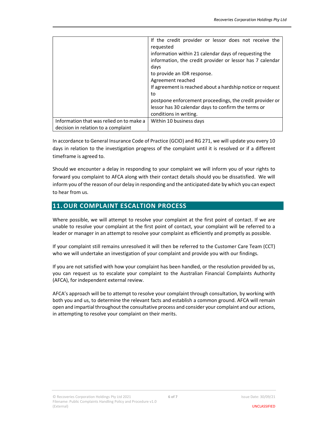|                                                                                 | If the credit provider or lessor does not receive the<br>requested<br>information within 21 calendar days of requesting the<br>information, the credit provider or lessor has 7 calendar<br>days<br>to provide an IDR response.<br>Agreement reached<br>If agreement is reached about a hardship notice or request<br>to<br>postpone enforcement proceedings, the credit provider or<br>lessor has 30 calendar days to confirm the terms or<br>conditions in writing. |
|---------------------------------------------------------------------------------|-----------------------------------------------------------------------------------------------------------------------------------------------------------------------------------------------------------------------------------------------------------------------------------------------------------------------------------------------------------------------------------------------------------------------------------------------------------------------|
| Information that was relied on to make a<br>decision in relation to a complaint | Within 10 business days                                                                                                                                                                                                                                                                                                                                                                                                                                               |

In accordance to General Insurance Code of Practice (GCIO) and RG 271, we will update you every 10 days in relation to the investigation progress of the complaint until it is resolved or if a different timeframe is agreed to.

Should we encounter a delay in responding to your complaint we will inform you of your rights to forward you complaint to AFCA along with their contact details should you be dissatisfied. We will inform you of the reason of our delay in responding and the anticipated date by which you can expect to hear from us.

#### 11.OUR COMPLAINT ESCALTION PROCESS

Where possible, we will attempt to resolve your complaint at the first point of contact. If we are unable to resolve your complaint at the first point of contact, your complaint will be referred to a leader or manager in an attempt to resolve your complaint as efficiently and promptly as possible.

If your complaint still remains unresolved it will then be referred to the Customer Care Team (CCT) who we will undertake an investigation of your complaint and provide you with our findings.

If you are not satisfied with how your complaint has been handled, or the resolution provided by us, you can request us to escalate your complaint to the Australian Financial Complaints Authority (AFCA), for independent external review.

AFCA's approach will be to attempt to resolve your complaint through consultation, by working with both you and us, to determine the relevant facts and establish a common ground. AFCA will remain open and impartial throughout the consultative process and consider your complaint and our actions, in attempting to resolve your complaint on their merits.